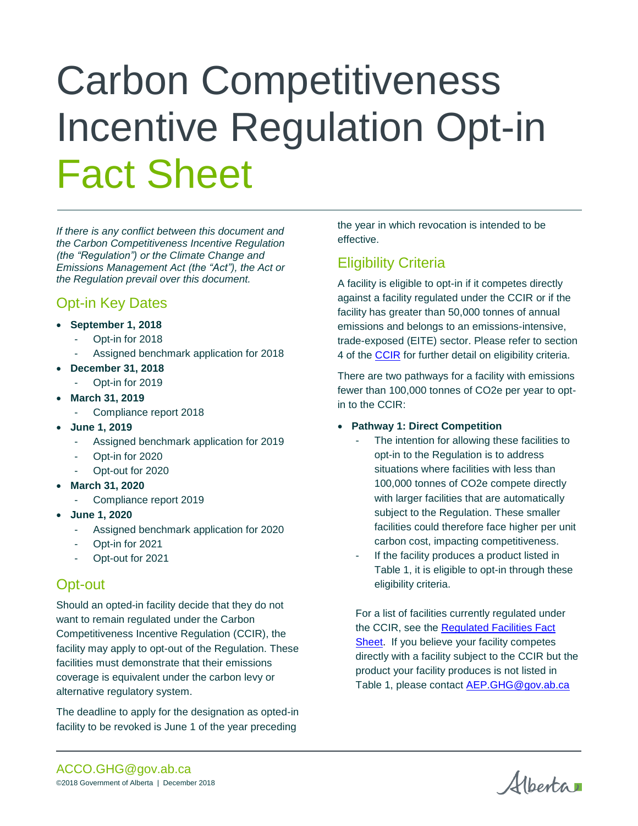# Carbon Competitiveness Incentive Regulation Opt-in Fact Sheet

*If there is any conflict between this document and the Carbon Competitiveness Incentive Regulation (the "Regulation") or the Climate Change and Emissions Management Act (the "Act"), the Act or the Regulation prevail over this document.*

# Opt-in Key Dates

- **September 1, 2018**
	- Opt-in for 2018
	- Assigned benchmark application for 2018
- **December 31, 2018**
	- Opt-in for 2019
- **March 31, 2019**
	- Compliance report 2018
- **June 1, 2019**
	- Assigned benchmark application for 2019
	- Opt-in for 2020
	- Opt-out for 2020
- **March 31, 2020**
	- Compliance report 2019
- **June 1, 2020**
	- Assigned benchmark application for 2020
	- Opt-in for 2021
	- Opt-out for 2021

## Opt-out

Should an opted-in facility decide that they do not want to remain regulated under the Carbon Competitiveness Incentive Regulation (CCIR), the facility may apply to opt-out of the Regulation. These facilities must demonstrate that their emissions coverage is equivalent under the carbon levy or alternative regulatory system.

The deadline to apply for the designation as opted-in facility to be revoked is June 1 of the year preceding

the year in which revocation is intended to be effective.

# Eligibility Criteria

A facility is eligible to opt-in if it competes directly against a facility regulated under the CCIR or if the facility has greater than 50,000 tonnes of annual emissions and belongs to an emissions-intensive, trade-exposed (EITE) sector. Please refer to section 4 of the **CCIR** for further detail on eligibility criteria.

There are two pathways for a facility with emissions fewer than 100,000 tonnes of CO2e per year to optin to the CCIR:

#### **Pathway 1: Direct Competition**

- The intention for allowing these facilities to opt-in to the Regulation is to address situations where facilities with less than 100,000 tonnes of CO2e compete directly with larger facilities that are automatically subject to the Regulation. These smaller facilities could therefore face higher per unit carbon cost, impacting competitiveness.
- If the facility produces a product listed in Table 1, it is eligible to opt-in through these eligibility criteria.

For a list of facilities currently regulated under the CCIR, see the [Regulated Facilities Fact](https://www.alberta.ca/assets/documents/cci-regulated-facility-fact-sheet.pdf)  [Sheet.](https://www.alberta.ca/assets/documents/cci-regulated-facility-fact-sheet.pdf) If you believe your facility competes directly with a facility subject to the CCIR but the product your facility produces is not listed in Table 1, please contact [AEP.GHG@gov.ab.ca](mailto:AEP.GHG@gov.ab.ca)

Albertan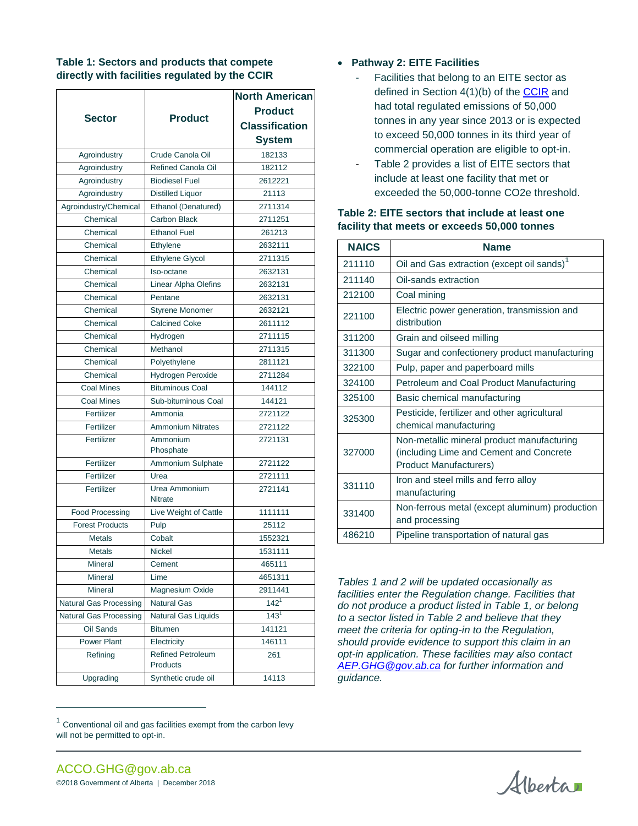#### **Table 1: Sectors and products that compete directly with facilities regulated by the CCIR**

|                               |                                      | <b>North American</b> |
|-------------------------------|--------------------------------------|-----------------------|
|                               |                                      | <b>Product</b>        |
| <b>Sector</b>                 | <b>Product</b>                       | <b>Classification</b> |
|                               |                                      | <b>System</b>         |
| Agroindustry                  | Crude Canola Oil                     | 182133                |
| Agroindustry                  | Refined Canola Oil                   | 182112                |
| Agroindustry                  | <b>Biodiesel Fuel</b>                | 2612221               |
| Agroindustry                  | <b>Distilled Liquor</b>              | 21113                 |
| Agroindustry/Chemical         | Ethanol (Denatured)                  | 2711314               |
| Chemical                      | <b>Carbon Black</b>                  | 2711251               |
| Chemical                      | <b>Ethanol Fuel</b>                  | 261213                |
| Chemical                      | Ethylene                             | 2632111               |
| Chemical                      | Ethylene Glycol                      | 2711315               |
| Chemical                      | Iso-octane                           | 2632131               |
| Chemical                      | Linear Alpha Olefins                 | 2632131               |
| Chemical                      | Pentane                              | 2632131               |
| Chemical                      | Styrene Monomer                      | 2632121               |
| Chemical                      | <b>Calcined Coke</b>                 | 2611112               |
| Chemical                      | Hydrogen                             | 2711115               |
| Chemical                      | Methanol                             | 2711315               |
| Chemical                      | Polyethylene                         | 2811121               |
| Chemical                      | Hydrogen Peroxide                    | 2711284               |
| <b>Coal Mines</b>             | <b>Bituminous Coal</b>               | 144112                |
| <b>Coal Mines</b>             | Sub-bituminous Coal                  | 144121                |
| Fertilizer                    | Ammonia                              | 2721122               |
| Fertilizer                    | <b>Ammonium Nitrates</b>             | 2721122               |
| Fertilizer                    | Ammonium<br>Phosphate                | 2721131               |
| Fertilizer                    | Ammonium Sulphate                    | 2721122               |
| Fertilizer                    | Urea                                 | 2721111               |
| Fertilizer                    | Urea Ammonium                        | 2721141               |
|                               | <b>Nitrate</b>                       |                       |
| <b>Food Processing</b>        | Live Weight of Cattle                | 1111111               |
| <b>Forest Products</b>        | Pulp                                 | 25112                 |
| <b>Metals</b>                 | Cobalt                               | 1552321               |
| Metals                        | Nickel                               | 1531111               |
| Mineral                       | Cement                               | 465111                |
| Mineral                       | Lime                                 | 4651311               |
| Mineral                       | Magnesium Oxide                      | 2911441               |
| <b>Natural Gas Processing</b> | Natural Gas                          | 142 <sup>1</sup>      |
| Natural Gas Processing        | <b>Natural Gas Liquids</b>           | $143^{1}$             |
| Oil Sands                     | <b>Bitumen</b>                       | 141121                |
| Power Plant                   | Electricity                          | 146111                |
| Refining                      | <b>Refined Petroleum</b><br>Products | 261                   |
| Upgrading                     | Synthetic crude oil                  | 14113                 |

#### **Pathway 2: EITE Facilities**

- Facilities that belong to an EITE sector as defined in Section 4(1)(b) of the [CCIR](http://www.qp.alberta.ca/1266.cfm?page=2017_255.cfm&leg_type=Regs&isbncln=9780779800193) and had total regulated emissions of 50,000 tonnes in any year since 2013 or is expected to exceed 50,000 tonnes in its third year of commercial operation are eligible to opt-in.
- Table 2 provides a list of EITE sectors that include at least one facility that met or exceeded the 50,000-tonne CO2e threshold.

| <b>NAICS</b> | <b>Name</b>                                                                                                            |  |
|--------------|------------------------------------------------------------------------------------------------------------------------|--|
| 211110       | Oil and Gas extraction (except oil sands) <sup>1</sup>                                                                 |  |
| 211140       | Oil-sands extraction                                                                                                   |  |
| 212100       | Coal mining                                                                                                            |  |
| 221100       | Electric power generation, transmission and<br>distribution                                                            |  |
| 311200       | Grain and oilseed milling                                                                                              |  |
| 311300       | Sugar and confectionery product manufacturing                                                                          |  |
| 322100       | Pulp, paper and paperboard mills                                                                                       |  |
| 324100       | Petroleum and Coal Product Manufacturing                                                                               |  |
| 325100       | Basic chemical manufacturing                                                                                           |  |
| 325300       | Pesticide, fertilizer and other agricultural<br>chemical manufacturing                                                 |  |
| 327000       | Non-metallic mineral product manufacturing<br>(including Lime and Cement and Concrete<br><b>Product Manufacturers)</b> |  |
| 331110       | Iron and steel mills and ferro alloy<br>manufacturing                                                                  |  |
| 331400       | Non-ferrous metal (except aluminum) production<br>and processing                                                       |  |
| 486210       | Pipeline transportation of natural gas                                                                                 |  |

#### **Table 2: EITE sectors that include at least one facility that meets or exceeds 50,000 tonnes**

*Tables 1 and 2 will be updated occasionally as facilities enter the Regulation change. Facilities that do not produce a product listed in Table 1, or belong to a sector listed in Table 2 and believe that they meet the criteria for opting-in to the Regulation, should provide evidence to support this claim in an opt-in application. These facilities may also contact [AEP.GHG@gov.ab.ca](mailto:AEP.GHG@gov.ab.ca) for further information and guidance.* 

 $\overline{a}$ 

Alberta

 $1$  Conventional oil and gas facilities exempt from the carbon levy will not be permitted to opt-in.